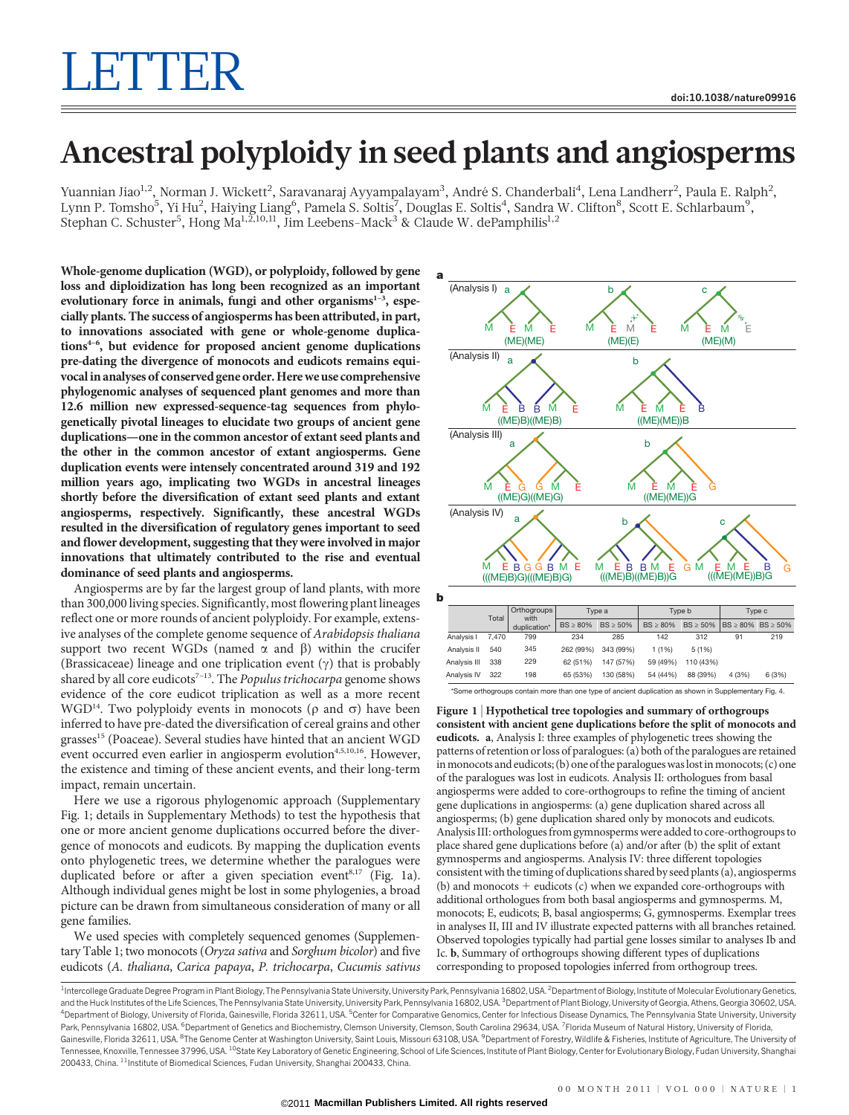# LETTER

## Ancestral polyploidy in seed plants and angiosperms

Yuannian Jiao<sup>1,2</sup>, Norman J. Wickett<sup>2</sup>, Saravanaraj Ayyampalayam<sup>3</sup>, André S. Chanderbali<sup>4</sup>, Lena Landherr<sup>2</sup>, Paula E. Ralph<sup>2</sup>, Lynn P. Tomsho $^5$ , Yi Hu $^2$ , Haiying Liang $^6$ , Pamela S. Soltis $^7$ , Douglas E. Soltis $^4$ , Sandra W. Clifton $^8$ , Scott E. Schlarbaum $^9$ , Stephan C. Schuster<sup>5</sup>, Hong Ma<sup>1,2,10,11</sup>, Jim Leebens-Mack<sup>3</sup> & Claude W. dePamphilis<sup>1,2</sup>

Whole-genome duplication (WGD), or polyploidy, followed by gene loss and diploidization has long been recognized as an important evolutionary force in animals, fungi and other organisms $1-3$ , especially plants. The success of angiosperms has been attributed, in part, to innovations associated with gene or whole-genome duplications4–6, but evidence for proposed ancient genome duplications pre-dating the divergence of monocots and eudicots remains equivocal in analyses of conserved gene order. Here we use comprehensive phylogenomic analyses of sequenced plant genomes and more than 12.6 million new expressed-sequence-tag sequences from phylogenetically pivotal lineages to elucidate two groups of ancient gene duplications—one in the common ancestor of extant seed plants and the other in the common ancestor of extant angiosperms. Gene duplication events were intensely concentrated around 319 and 192 million years ago, implicating two WGDs in ancestral lineages shortly before the diversification of extant seed plants and extant angiosperms, respectively. Significantly, these ancestral WGDs resulted in the diversification of regulatory genes important to seed and flower development, suggesting that they were involved in major innovations that ultimately contributed to the rise and eventual dominance of seed plants and angiosperms.

Angiosperms are by far the largest group of land plants, with more than 300,000 living species. Significantly, most flowering plant lineages reflect one or more rounds of ancient polyploidy. For example, extensive analyses of the complete genome sequence of Arabidopsis thaliana support two recent WGDs (named  $\alpha$  and  $\beta$ ) within the crucifer (Brassicaceae) lineage and one triplication event  $(\gamma)$  that is probably shared by all core eudicots<sup>7-13</sup>. The *Populus trichocarpa* genome shows evidence of the core eudicot triplication as well as a more recent WGD<sup>14</sup>. Two polyploidy events in monocots ( $\rho$  and  $\sigma$ ) have been inferred to have pre-dated the diversification of cereal grains and other grasses<sup>15</sup> (Poaceae). Several studies have hinted that an ancient WGD event occurred even earlier in angiosperm evolution<sup>4,5,10,16</sup>. However, the existence and timing of these ancient events, and their long-term impact, remain uncertain.

Here we use a rigorous phylogenomic approach (Supplementary Fig. 1; details in Supplementary Methods) to test the hypothesis that one or more ancient genome duplications occurred before the divergence of monocots and eudicots. By mapping the duplication events onto phylogenetic trees, we determine whether the paralogues were duplicated before or after a given speciation event<sup>8,17</sup> (Fig. 1a). Although individual genes might be lost in some phylogenies, a broad picture can be drawn from simultaneous consideration of many or all gene families.

We used species with completely sequenced genomes (Supplementary Table 1; two monocots (Oryza sativa and Sorghum bicolor) and five eudicots (A. thaliana, Carica papaya, P. trichocarpa, Cucumis sativus



\*Some orthogroups contain more than one type of ancient duplication as shown in Supplementary Fig. 4.

Figure 1 | Hypothetical tree topologies and summary of orthogroups consistent with ancient gene duplications before the split of monocots and eudicots. a, Analysis I: three examples of phylogenetic trees showing the patterns of retention or loss of paralogues: (a) both of the paralogues are retained in monocots and eudicots; (b) one of the paralogues was lost in monocots; (c) one of the paralogues was lost in eudicots. Analysis II: orthologues from basal angiosperms were added to core-orthogroups to refine the timing of ancient gene duplications in angiosperms: (a) gene duplication shared across all angiosperms; (b) gene duplication shared only by monocots and eudicots. Analysis III: orthologues from gymnosperms were added to core-orthogroups to place shared gene duplications before (a) and/or after (b) the split of extant gymnosperms and angiosperms. Analysis IV: three different topologies consistent with the timing of duplications shared by seed plants (a), angiosperms (b) and monocots  $+$  eudicots (c) when we expanded core-orthogroups with additional orthologues from both basal angiosperms and gymnosperms. M, monocots; E, eudicots; B, basal angiosperms; G, gymnosperms. Exemplar trees in analyses II, III and IV illustrate expected patterns with all branches retained. Observed topologies typically had partial gene losses similar to analyses Ib and Ic. b, Summary of orthogroups showing different types of duplications corresponding to proposed topologies inferred from orthogroup trees.

<sup>1</sup>Intercollege Graduate Degree Program in Plant Biology, The Pennsylvania State University, University Park, Pennsylvania 16802, USA. <sup>2</sup>Department of Biology, Institute of Molecular Evolutionary Genetics and the Huck Institutes of the Life Sciences, The Pennsylvania State University, University Park, Pennsylvania 16802, USA. <sup>3</sup>Department of Plant Biology, University of Georgia, Athens, Georgia 30602, USA <sup>4</sup>Department of Biology, University of Florida, Gainesville, Florida 32611, USA. <sup>5</sup>Center for Comparative Genomics, Center for Infectious Disease Dynamics, The Pennsylvania State University, University Park, Pennsylvania 16802, USA. <sup>6</sup>Department of Genetics and Biochemistry, Clemson University, Clemson, South Carolina 29634, USA. <sup>7</sup>Florida Museum of Natural History, University of Florida, Gainesville, Florida 32611, USA. <sup>8</sup>The Genome Center at Washington University, Saint Louis, Missouri 63108, USA. <sup>9</sup>Department of Forestry, Wildlife & Fisheries, Institute of Agriculture, The University o Tennessee, Knoxville, Tennessee 37996, USA. <sup>10</sup>State Key Laboratory of Genetic Engineering, School of Life Sciences, Institute of Plant Biology, Center for Evolutionary Biology, Fudan University, Shanghai 200433, China. <sup>11</sup>Institute of Biomedical Sciences, Fudan University, Shanghai 200433, China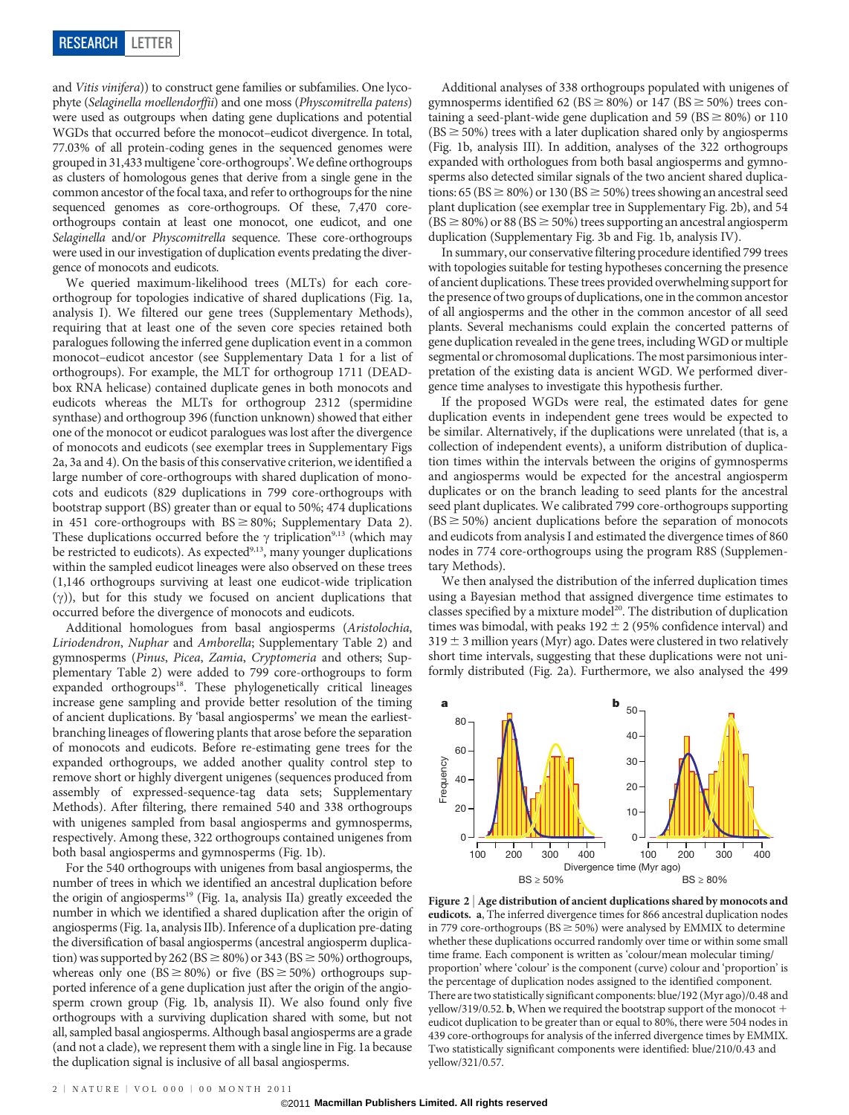and Vitis vinifera)) to construct gene families or subfamilies. One lycophyte (Selaginella moellendorffii) and one moss (Physcomitrella patens) were used as outgroups when dating gene duplications and potential WGDs that occurred before the monocot–eudicot divergence. In total, 77.03% of all protein-coding genes in the sequenced genomes were grouped in 31,433 multigene 'core-orthogroups'.We define orthogroups as clusters of homologous genes that derive from a single gene in the common ancestor of the focal taxa, and refer to orthogroups for the nine sequenced genomes as core-orthogroups. Of these, 7,470 coreorthogroups contain at least one monocot, one eudicot, and one Selaginella and/or Physcomitrella sequence. These core-orthogroups were used in our investigation of duplication events predating the divergence of monocots and eudicots.

We queried maximum-likelihood trees (MLTs) for each coreorthogroup for topologies indicative of shared duplications (Fig. 1a, analysis I). We filtered our gene trees (Supplementary Methods), requiring that at least one of the seven core species retained both paralogues following the inferred gene duplication event in a common monocot–eudicot ancestor (see Supplementary Data 1 for a list of orthogroups). For example, the MLT for orthogroup 1711 (DEADbox RNA helicase) contained duplicate genes in both monocots and eudicots whereas the MLTs for orthogroup 2312 (spermidine synthase) and orthogroup 396 (function unknown) showed that either one of the monocot or eudicot paralogues was lost after the divergence of monocots and eudicots (see exemplar trees in Supplementary Figs 2a, 3a and 4). On the basis of this conservative criterion, we identified a large number of core-orthogroups with shared duplication of monocots and eudicots (829 duplications in 799 core-orthogroups with bootstrap support (BS) greater than or equal to 50%; 474 duplications in 451 core-orthogroups with  $BS \ge 80\%$ ; Supplementary Data 2). These duplications occurred before the  $\gamma$  triplication<sup>9,13</sup> (which may be restricted to eudicots). As expected $9,13$ , many younger duplications within the sampled eudicot lineages were also observed on these trees (1,146 orthogroups surviving at least one eudicot-wide triplication  $(\gamma)$ , but for this study we focused on ancient duplications that occurred before the divergence of monocots and eudicots.

Additional homologues from basal angiosperms (Aristolochia, Liriodendron, Nuphar and Amborella; Supplementary Table 2) and gymnosperms (Pinus, Picea, Zamia, Cryptomeria and others; Supplementary Table 2) were added to 799 core-orthogroups to form expanded orthogroups<sup>18</sup>. These phylogenetically critical lineages increase gene sampling and provide better resolution of the timing of ancient duplications. By 'basal angiosperms' we mean the earliestbranching lineages of flowering plants that arose before the separation of monocots and eudicots. Before re-estimating gene trees for the expanded orthogroups, we added another quality control step to remove short or highly divergent unigenes (sequences produced from assembly of expressed-sequence-tag data sets; Supplementary Methods). After filtering, there remained 540 and 338 orthogroups with unigenes sampled from basal angiosperms and gymnosperms, respectively. Among these, 322 orthogroups contained unigenes from both basal angiosperms and gymnosperms (Fig. 1b).

For the 540 orthogroups with unigenes from basal angiosperms, the number of trees in which we identified an ancestral duplication before the origin of angiosperms<sup>19</sup> (Fig. 1a, analysis IIa) greatly exceeded the number in which we identified a shared duplication after the origin of angiosperms (Fig. 1a, analysis IIb). Inference of a duplication pre-dating the diversification of basal angiosperms (ancestral angiosperm duplication) was supported by 262 (BS  $\geq$  80%) or 343 (BS  $\geq$  50%) orthogroups, whereas only one ( $BS \ge 80\%$ ) or five ( $BS \ge 50\%$ ) orthogroups supported inference of a gene duplication just after the origin of the angiosperm crown group (Fig. 1b, analysis II). We also found only five orthogroups with a surviving duplication shared with some, but not all, sampled basal angiosperms. Although basal angiosperms are a grade (and not a clade), we represent them with a single line in Fig. 1a because the duplication signal is inclusive of all basal angiosperms.

Additional analyses of 338 orthogroups populated with unigenes of gymnosperms identified 62 (BS  $\geq$  80%) or 147 (BS  $\geq$  50%) trees containing a seed-plant-wide gene duplication and 59 ( $BS \ge 80\%$ ) or 110  $(BS \ge 50\%)$  trees with a later duplication shared only by angiosperms (Fig. 1b, analysis III). In addition, analyses of the 322 orthogroups expanded with orthologues from both basal angiosperms and gymnosperms also detected similar signals of the two ancient shared duplications:  $65 (BS \ge 80\%)$  or  $130 (BS \ge 50\%)$  trees showing an ancestral seed plant duplication (see exemplar tree in Supplementary Fig. 2b), and 54  $(BS \ge 80\%)$  or 88 ( $BS \ge 50\%$ ) trees supporting an ancestral angiosperm duplication (Supplementary Fig. 3b and Fig. 1b, analysis IV).

In summary, our conservative filtering procedure identified 799 trees with topologies suitable for testing hypotheses concerning the presence of ancient duplications. These trees provided overwhelming support for the presence of two groups of duplications, one in the common ancestor of all angiosperms and the other in the common ancestor of all seed plants. Several mechanisms could explain the concerted patterns of gene duplication revealed in the gene trees, including WGD or multiple segmental or chromosomal duplications. The most parsimonious interpretation of the existing data is ancient WGD. We performed divergence time analyses to investigate this hypothesis further.

If the proposed WGDs were real, the estimated dates for gene duplication events in independent gene trees would be expected to be similar. Alternatively, if the duplications were unrelated (that is, a collection of independent events), a uniform distribution of duplication times within the intervals between the origins of gymnosperms and angiosperms would be expected for the ancestral angiosperm duplicates or on the branch leading to seed plants for the ancestral seed plant duplicates. We calibrated 799 core-orthogroups supporting  $(BS \ge 50\%)$  ancient duplications before the separation of monocots and eudicots from analysis I and estimated the divergence times of 860 nodes in 774 core-orthogroups using the program R8S (Supplementary Methods).

We then analysed the distribution of the inferred duplication times using a Bayesian method that assigned divergence time estimates to classes specified by a mixture model<sup>20</sup>. The distribution of duplication times was bimodal, with peaks  $192 \pm 2$  (95% confidence interval) and  $319 \pm 3$  million years (Myr) ago. Dates were clustered in two relatively short time intervals, suggesting that these duplications were not uniformly distributed (Fig. 2a). Furthermore, we also analysed the 499



Figure 2 <sup>|</sup> Age distribution of ancient duplications shared by monocots and eudicots. a, The inferred divergence times for 866 ancestral duplication nodes in 779 core-orthogroups ( $BS \ge 50\%$ ) were analysed by EMMIX to determine whether these duplications occurred randomly over time or within some small time frame. Each component is written as 'colour/mean molecular timing/ proportion' where 'colour' is the component (curve) colour and 'proportion' is the percentage of duplication nodes assigned to the identified component. There are two statistically significant components: blue/192 (Myr ago)/0.48 and yellow/319/0.52. b, When we required the bootstrap support of the monocot + eudicot duplication to be greater than or equal to 80%, there were 504 nodes in 439 core-orthogroups for analysis of the inferred divergence times by EMMIX. Two statistically significant components were identified: blue/210/0.43 and yellow/321/0.57.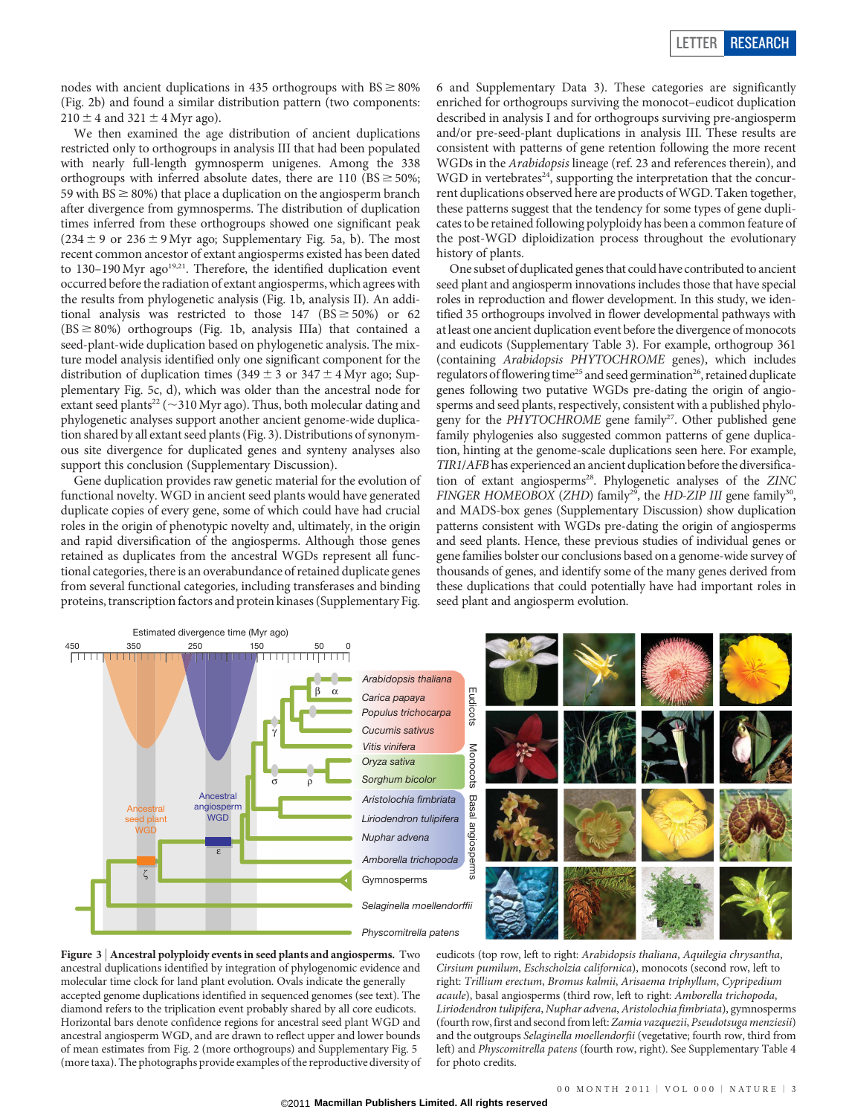nodes with ancient duplications in 435 orthogroups with  $BS \ge 80\%$ (Fig. 2b) and found a similar distribution pattern (two components:  $210 \pm 4$  and  $321 \pm 4$  Myr ago).

We then examined the age distribution of ancient duplications restricted only to orthogroups in analysis III that had been populated with nearly full-length gymnosperm unigenes. Among the 338 orthogroups with inferred absolute dates, there are 110 ( $BS \ge 50\%$ ; 59 with  $BS \ge 80\%$ ) that place a duplication on the angiosperm branch after divergence from gymnosperms. The distribution of duplication times inferred from these orthogroups showed one significant peak  $(234 \pm 9 \text{ or } 236 \pm 9 \text{ Myr ago};$  Supplementary Fig. 5a, b). The most recent common ancestor of extant angiosperms existed has been dated to 130-190 Myr ago<sup>19,21</sup>. Therefore, the identified duplication event occurred before the radiation of extant angiosperms, which agrees with the results from phylogenetic analysis (Fig. 1b, analysis II). An additional analysis was restricted to those  $147$  (BS  $\geq$  50%) or 62  $(BS \ge 80\%)$  orthogroups (Fig. 1b, analysis IIIa) that contained a seed-plant-wide duplication based on phylogenetic analysis. The mixture model analysis identified only one significant component for the distribution of duplication times (349  $\pm$  3 or 347  $\pm$  4 Myr ago; Supplementary Fig. 5c, d), which was older than the ancestral node for extant seed plants<sup>22</sup> ( $\sim$ 310 Myr ago). Thus, both molecular dating and phylogenetic analyses support another ancient genome-wide duplication shared by all extant seed plants (Fig. 3). Distributions of synonymous site divergence for duplicated genes and synteny analyses also support this conclusion (Supplementary Discussion).

Gene duplication provides raw genetic material for the evolution of functional novelty. WGD in ancient seed plants would have generated duplicate copies of every gene, some of which could have had crucial roles in the origin of phenotypic novelty and, ultimately, in the origin and rapid diversification of the angiosperms. Although those genes retained as duplicates from the ancestral WGDs represent all functional categories, there is an overabundance of retained duplicate genes from several functional categories, including transferases and binding proteins, transcription factors and protein kinases (Supplementary Fig.

6 and Supplementary Data 3). These categories are significantly enriched for orthogroups surviving the monocot–eudicot duplication described in analysis I and for orthogroups surviving pre-angiosperm and/or pre-seed-plant duplications in analysis III. These results are consistent with patterns of gene retention following the more recent WGDs in the Arabidopsis lineage (ref. 23 and references therein), and WGD in vertebrates<sup>24</sup>, supporting the interpretation that the concurrent duplications observed here are products of WGD. Taken together, these patterns suggest that the tendency for some types of gene duplicates to be retained following polyploidy has been a common feature of the post-WGD diploidization process throughout the evolutionary history of plants.

One subset of duplicated genes that could have contributed to ancient seed plant and angiosperm innovations includes those that have special roles in reproduction and flower development. In this study, we identified 35 orthogroups involved in flower developmental pathways with at least one ancient duplication event before the divergence of monocots and eudicots (Supplementary Table 3). For example, orthogroup 361 (containing Arabidopsis PHYTOCHROME genes), which includes regulators of flowering time<sup>25</sup> and seed germination<sup>26</sup>, retained duplicate genes following two putative WGDs pre-dating the origin of angiosperms and seed plants, respectively, consistent with a published phylogeny for the PHYTOCHROME gene family<sup>27</sup>. Other published gene family phylogenies also suggested common patterns of gene duplication, hinting at the genome-scale duplications seen here. For example, TIR1/AFB has experienced an ancient duplication before the diversification of extant angiosperms<sup>28</sup>. Phylogenetic analyses of the ZINC FINGER HOMEOBOX (ZHD) family<sup>29</sup>, the HD-ZIP III gene family<sup>30</sup>, and MADS-box genes (Supplementary Discussion) show duplication patterns consistent with WGDs pre-dating the origin of angiosperms and seed plants. Hence, these previous studies of individual genes or gene families bolster our conclusions based on a genome-wide survey of thousands of genes, and identify some of the many genes derived from these duplications that could potentially have had important roles in seed plant and angiosperm evolution.



Figure 3 <sup>|</sup> Ancestral polyploidy events in seed plants and angiosperms. Two ancestral duplications identified by integration of phylogenomic evidence and molecular time clock for land plant evolution. Ovals indicate the generally accepted genome duplications identified in sequenced genomes (see text). The diamond refers to the triplication event probably shared by all core eudicots. Horizontal bars denote confidence regions for ancestral seed plant WGD and ancestral angiosperm WGD, and are drawn to reflect upper and lower bounds of mean estimates from Fig. 2 (more orthogroups) and Supplementary Fig. 5 (more taxa). The photographs provide examples of the reproductive diversity of

eudicots (top row, left to right: Arabidopsis thaliana, Aquilegia chrysantha, Cirsium pumilum, Eschscholzia californica), monocots (second row, left to right: Trillium erectum, Bromus kalmii, Arisaema triphyllum, Cypripedium acaule), basal angiosperms (third row, left to right: Amborella trichopoda, Liriodendron tulipifera, Nuphar advena, Aristolochia fimbriata), gymnosperms (fourth row, first and second from left: Zamia vazquezii, Pseudotsuga menziesii) and the outgroups Selaginella moellendorfii (vegetative; fourth row, third from left) and Physcomitrella patens (fourth row, right). See Supplementary Table 4 for photo credits.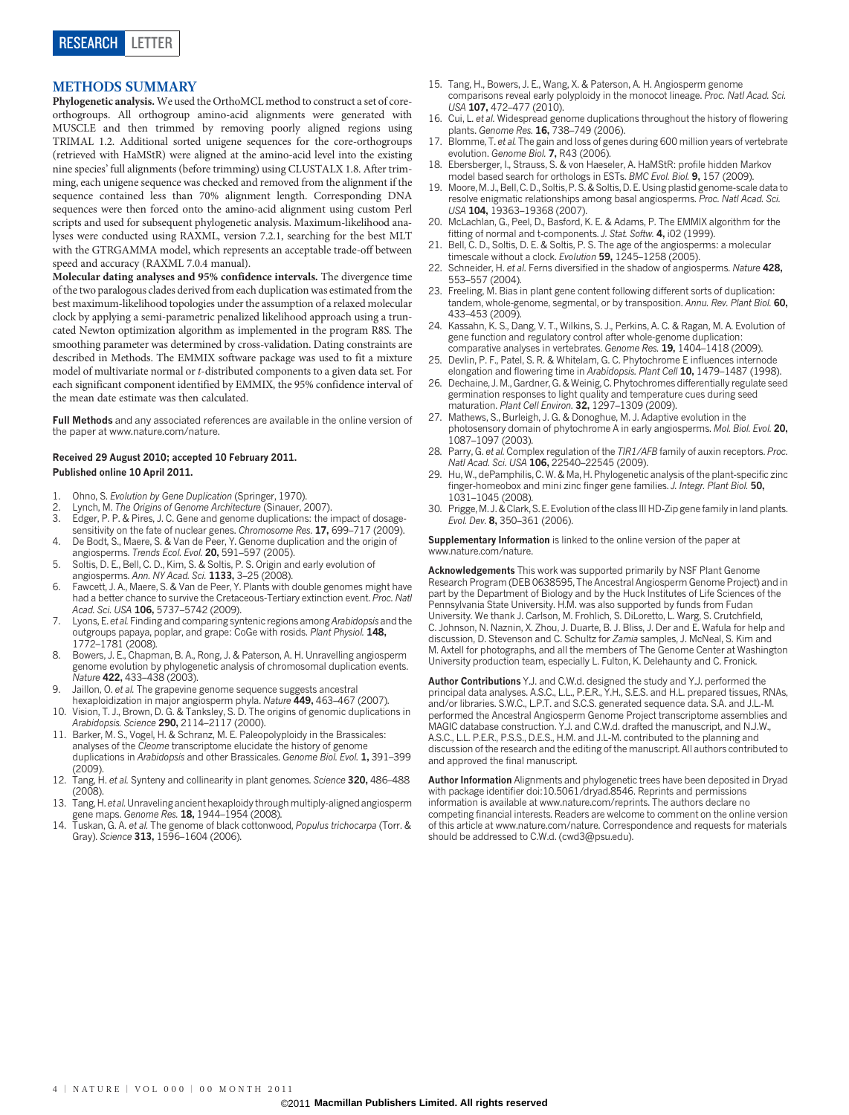### METHODS SUMMARY

Phylogenetic analysis. We used the OrthoMCL method to construct a set of coreorthogroups. All orthogroup amino-acid alignments were generated with MUSCLE and then trimmed by removing poorly aligned regions using TRIMAL 1.2. Additional sorted unigene sequences for the core-orthogroups (retrieved with HaMStR) were aligned at the amino-acid level into the existing nine species' full alignments (before trimming) using CLUSTALX 1.8. After trimming, each unigene sequence was checked and removed from the alignment if the sequence contained less than 70% alignment length. Corresponding DNA sequences were then forced onto the amino-acid alignment using custom Perl scripts and used for subsequent phylogenetic analysis. Maximum-likelihood analyses were conducted using RAXML, version 7.2.1, searching for the best MLT with the GTRGAMMA model, which represents an acceptable trade-off between speed and accuracy (RAXML 7.0.4 manual).

Molecular dating analyses and 95% confidence intervals. The divergence time of the two paralogous clades derived from each duplication was estimated from the best maximum-likelihood topologies under the assumption of a relaxed molecular clock by applying a semi-parametric penalized likelihood approach using a truncated Newton optimization algorithm as implemented in the program R8S. The smoothing parameter was determined by cross-validation. Dating constraints are described in Methods. The EMMIX software package was used to fit a mixture model of multivariate normal or t-distributed components to a given data set. For each significant component identified by EMMIX, the 95% confidence interval of the mean date estimate was then calculated.

Full Methods and any associated references are available in the online version of the paper at [www.nature.com/nature.](www.nature.com/nature)

#### Received 29 August 2010; accepted 10 February 2011. Published online 10 April 2011.

- 1. Ohno, S. Evolution by Gene Duplication (Springer, 1970).
- 2. Lynch, M. The Origins of Genome Architecture (Sinauer, 2007).<br>3. Edger P. P. & Pires, L.C. Gene and genome duplications: the Edger, P. P. & Pires, J. C. Gene and genome duplications: the impact of dosagesensitivity on the fate of nuclear genes. Chromosome Res. 17, 699-717 (2009).
- 4. De Bodt, S., Maere, S. & Van de Peer, Y. Genome duplication and the origin of angiosperms. Trends Ecol. Evol. 20, 591–597 (2005).
- 5. Soltis, D. E., Bell, C. D., Kim, S. & Soltis, P. S. Origin and early evolution of angiosperms. Ann. NY Acad. Sci. 1133, 3–25 (2008).
- 6. Fawcett, J. A., Maere, S. & Van de Peer, Y. Plants with double genomes might have had a better chance to survive the Cretaceous-Tertiary extinction event. Proc. Natl Acad. Sci. USA 106, 5737-5742 (2009).
- 7. Lyons, E. et al. Finding and comparing syntenic regions among Arabidopsis and the outgroups papaya, poplar, and grape: CoGe with rosids. Plant Physiol. 148, 1772–1781 (2008).
- 8. Bowers, J. E., Chapman, B. A., Rong, J. & Paterson, A. H. Unravelling angiosperm genome evolution by phylogenetic analysis of chromosomal duplication events. Nature 422, 433-438 (2003).
- 9. Jaillon, O. et al. The grapevine genome sequence suggests ancestral hexaploidization in major angiosperm phyla. Nature 449, 463-467 (2007).
- 10. Vision, T. J., Brown, D. G. & Tanksley, S. D. The origins of genomic duplications in Arabidopsis. Science 290, 2114-2117 (2000).
- 11. Barker, M. S., Vogel, H. & Schranz, M. E. Paleopolyploidy in the Brassicales: analyses of the Cleome transcriptome elucidate the history of genome duplications in Arabidopsis and other Brassicales. Genome Biol. Evol. 1, 391-399 (2009).
- 12. Tang, H. et al. Synteny and collinearity in plant genomes. Science 320, 486-488 (2008).
- 13. Tang, H. et al. Unraveling ancient hexaploidy through multiply-aligned angiosperm
- gene maps. Genome Res. 18, 1944–1954 (2008). 14. Tuskan, G. A. et al. The genome of black cottonwood, Populus trichocarpa (Torr. & Gray). Science 313, 1596-1604 (2006).
- 15. Tang, H., Bowers, J. E., Wang, X. & Paterson, A. H. Angiosperm genome comparisons reveal early polyploidy in the monocot lineage. Proc. Natl Acad. Sci. USA 107, 472–477 (2010).
- 16. Cui, L. et al. Widespread genome duplications throughout the history of flowering plants. Genome Res. 16, 738–749 (2006).
- 17. Blomme, T. et al. The gain and loss of genes during 600 million years of vertebrate evolution. Genome Biol. 7, R43 (2006).
- 18. Ebersberger, I., Strauss, S. & von Haeseler, A. HaMStR: profile hidden Markov model based search for orthologs in ESTs. BMC Evol. Biol. 9, 157 (2009).
- 19. Moore, M. J., Bell, C. D., Soltis, P. S. & Soltis, D. E. Using plastid genome-scale data to resolve enigmatic relationships among basal angiosperms. Proc. Natl Acad. Sci. USA 104, 19363–19368 (2007).
- 20. McLachlan, G., Peel, D., Basford, K. E. & Adams, P. The EMMIX algorithm for the fitting of normal and t-components. J. Stat. Softw. 4, i02 (1999).
- 21. Bell, C. D., Soltis, D. E. & Soltis, P. S. The age of the angiosperms: a molecular timescale without a clock. Evolution 59, 1245-1258 (2005).
- 22. Schneider, H. et al. Ferns diversified in the shadow of angiosperms. Nature 428. 553–557 (2004).
- 23. Freeling, M. Bias in plant gene content following different sorts of duplication: tandem, whole-genome, segmental, or by transposition. Annu. Rev. Plant Biol. 60, 433–453 (2009).
- Kassahn, K. S., Dang, V. T., Wilkins, S. J., Perkins, A. C. & Ragan, M. A. Evolution of gene function and regulatory control after whole-genome duplication: comparative analyses in vertebrates. Genome Res. 19, 1404-1418 (2009)
- 25. Devlin, P. F., Patel, S. R. & Whitelam, G. C. Phytochrome E influences internode elongation and flowering time in Arabidopsis. Plant Cell 10, 1479-1487 (1998).
- 26. Dechaine, J. M., Gardner, G. & Weinig, C. Phytochromes differentially regulate seed germination responses to light quality and temperature cues during seed maturation. Plant Cell Environ. 32, 1297–1309 (2009).
- 27. Mathews, S., Burleigh, J. G. & Donoghue, M. J. Adaptive evolution in the photosensory domain of phytochrome A in early angiosperms. Mol. Biol. Evol. 20, 1087–1097 (2003).
- 28. Parry, G. et al. Complex regulation of the TIR1/AFB family of auxin receptors. Proc. Natl Acad. Sci. USA 106, 22540–22545 (2009).
- 29. Hu, W., dePamphilis, C. W. & Ma, H. Phylogenetic analysis of the plant-specific zinc finger-homeobox and mini zinc finger gene families. J. Integr. Plant Biol. 50, 1031–1045 (2008).
- 30. Prigge, M. J. & Clark, S. E. Evolution of the class III HD-Zip gene family in land plants. Evol. Dev. 8, 350–361 (2006).

Supplementary Information is linked to the online version of the paper at <www.nature.com/nature>.

Acknowledgements This work was supported primarily by NSF Plant Genome Research Program (DEB 0638595, The Ancestral Angiosperm Genome Project) and in part by the Department of Biology and by the Huck Institutes of Life Sciences of the Pennsylvania State University. H.M. was also supported by funds from Fudan University. We thank J. Carlson, M. Frohlich, S. DiLoretto, L. Warg, S. Crutchfield, C. Johnson, N. Naznin, X. Zhou, J. Duarte, B. J. Bliss, J. Der and E. Wafula for help and discussion, D. Stevenson and C. Schultz for Zamia samples, J. McNeal, S. Kim and M. Axtell for photographs, and all the members of The Genome Center at Washington University production team, especially L. Fulton, K. Delehaunty and C. Fronick.

Author Contributions Y.J. and C.W.d. designed the study and Y.J. performed the principal data analyses. A.S.C., L.L., P.E.R., Y.H., S.E.S. and H.L. prepared tissues, RNAs, and/or libraries. S.W.C., L.P.T. and S.C.S. generated sequence data. S.A. and J.L.-M. performed the Ancestral Angiosperm Genome Project transcriptome assemblies and MAGIC database construction. Y.J. and C.W.d. drafted the manuscript, and N.J.W., A.S.C., L.L. P.E.R., P.S.S., D.E.S., H.M. and J.L-M. contributed to the planning and discussion of the research and the editing of the manuscript. All authors contributed to and approved the final manuscript.

Author Information Alignments and phylogenetic trees have been deposited in Dryad with package identifier doi:10.5061/dryad.8546. Reprints and permissions information is available at<www.nature.com/reprints>. The authors declare no competing financial interests. Readers are welcome to comment on the online version of this article at [www.nature.com/nature.](www.nature.com/nature) Correspondence and requests for materials should be addressed to C.W.d. [\(cwd3@psu.edu\)](mailto:cwd3@psu.edu).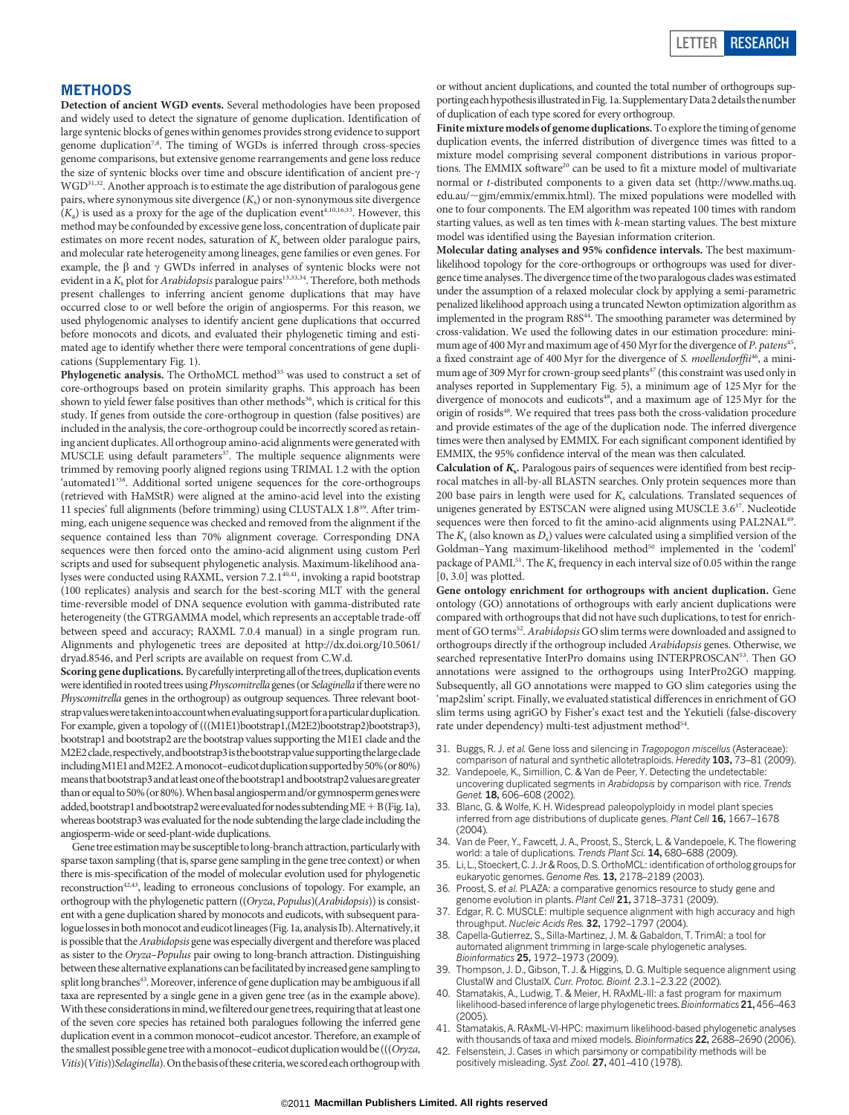### **METHODS**

Detection of ancient WGD events. Several methodologies have been proposed and widely used to detect the signature of genome duplication. Identification of large syntenic blocks of genes within genomes provides strong evidence to support genome duplication<sup>7,8</sup>. The timing of WGDs is inferred through cross-species genome comparisons, but extensive genome rearrangements and gene loss reduce the size of syntenic blocks over time and obscure identification of ancient pre- $\gamma$ WGD<sup>31,32</sup>. Another approach is to estimate the age distribution of paralogous gene pairs, where synonymous site divergence  $(K_s)$  or non-synonymous site divergence  $(K_a)$  is used as a proxy for the age of the duplication event<sup>4,10,16,33</sup>. However, this method may be confounded by excessive gene loss, concentration of duplicate pair estimates on more recent nodes, saturation of  $K_s$  between older paralogue pairs, and molecular rate heterogeneity among lineages, gene families or even genes. For example, the  $\beta$  and  $\gamma$  GWDs inferred in analyses of syntenic blocks were not evident in a  $K_s$  plot for Arabidopsis paralogue pairs<sup>13,33,34</sup>. Therefore, both methods present challenges to inferring ancient genome duplications that may have occurred close to or well before the origin of angiosperms. For this reason, we used phylogenomic analyses to identify ancient gene duplications that occurred before monocots and dicots, and evaluated their phylogenetic timing and estimated age to identify whether there were temporal concentrations of gene duplications (Supplementary Fig. 1).

Phylogenetic analysis. The OrthoMCL method<sup>35</sup> was used to construct a set of core-orthogroups based on protein similarity graphs. This approach has been shown to yield fewer false positives than other methods<sup>36</sup>, which is critical for this study. If genes from outside the core-orthogroup in question (false positives) are included in the analysis, the core-orthogroup could be incorrectly scored as retaining ancient duplicates. All orthogroup amino-acid alignments were generated with MUSCLE using default parameters<sup>37</sup>. The multiple sequence alignments were trimmed by removing poorly aligned regions using TRIMAL 1.2 with the option 'automated1<sup>'38</sup>. Additional sorted unigene sequences for the core-orthogroups (retrieved with HaMStR) were aligned at the amino-acid level into the existing 11 species' full alignments (before trimming) using CLUSTALX 1.839. After trimming, each unigene sequence was checked and removed from the alignment if the sequence contained less than 70% alignment coverage. Corresponding DNA sequences were then forced onto the amino-acid alignment using custom Perl scripts and used for subsequent phylogenetic analysis. Maximum-likelihood analyses were conducted using RAXML, version 7.2.1<sup>40,41</sup>, invoking a rapid bootstrap (100 replicates) analysis and search for the best-scoring MLT with the general time-reversible model of DNA sequence evolution with gamma-distributed rate heterogeneity (the GTRGAMMA model, which represents an acceptable trade-off between speed and accuracy; RAXML 7.0.4 manual) in a single program run. Alignments and phylogenetic trees are deposited at [http://dx.doi.org/10.5061/](http://dx.doi.org/10.5061/dryad.8546) [dryad.8546](http://dx.doi.org/10.5061/dryad.8546), and Perl scripts are available on request from C.W.d.

Scoring gene duplications. By carefully interpreting all of the trees, duplication events were identified in rooted trees using Physcomitrella genes (or Selaginella if there were no Physcomitrella genes in the orthogroup) as outgroup sequences. Three relevant bootstrapvaluesweretakenintoaccountwhenevaluatingsupportforaparticularduplication. For example, given a topology of (((M1E1)bootstrap1,(M2E2)bootstrap2)bootstrap3), bootstrap1 and bootstrap2 are the bootstrap values supporting the M1E1 clade and the M2E2 clade, respectively, and bootstrap3 is the bootstrap value supporting the large clade including M1E1 and M2E2. A monocot–eudicot duplication supported by 50% (or 80%) means thatbootstrap3andatleastoneof thebootstrap1andbootstrap2valuesaregreater than or equal to 50% (or 80%). When basal angiosperm and/or gymnosperm genes were added, bootstrap1 and bootstrap2 were evaluated for nodes subtending  $ME + B(Fig. 1a)$ , whereas bootstrap3 was evaluated for the node subtending the large clade including the angiosperm-wide or seed-plant-wide duplications.

Gene tree estimation may be susceptible to long-branch attraction, particularly with sparse taxon sampling (that is, sparse gene sampling in the gene tree context) or when there is mis-specification of the model of molecular evolution used for phylogenetic reconstruction<sup>42,43</sup>, leading to erroneous conclusions of topology. For example, an orthogroup with the phylogenetic pattern ((Oryza, Populus)(Arabidopsis)) is consistent with a gene duplication shared by monocots and eudicots, with subsequent paralogue losses in both monocot and eudicot lineages (Fig. 1a, analysis Ib). Alternatively, it is possible that the Arabidopsis gene was especially divergent and therefore was placed as sister to the Oryza–Populus pair owing to long-branch attraction. Distinguishing between these alternative explanations canbefacilitated byincreased gene sampling to  $\mathrm{split}$  long branches  $\!43}$  . Moreover, inference of gene duplication may be ambiguous if all taxa are represented by a single gene in a given gene tree (as in the example above). With these considerations in mind, we filtered our gene trees, requiring that at least one of the seven core species has retained both paralogues following the inferred gene duplication event in a common monocot–eudicot ancestor. Therefore, an example of the smallest possible gene tree with a monocot-eudicot duplication would be (((Oryza, Vitis)(Vitis))Selaginella). On the basis of these criteria, we scored each orthogroup with

or without ancient duplications, and counted the total number of orthogroups supporting eachhypothesisillustratedin Fig.1a.SupplementaryData2details thenumber of duplication of each type scored for every orthogroup.

Finite mixture models of genome duplications. To explore the timing of genome duplication events, the inferred distribution of divergence times was fitted to a mixture model comprising several component distributions in various proportions. The EMMIX software<sup>20</sup> can be used to fit a mixture model of multivariate normal or t-distributed components to a given data set [\(http://www.maths.uq.](http://www.maths.uq.edu.au/~gjm/emmix/emmix.html) edu.au/ $\sim$ [gjm/emmix/emmix.html](http://www.maths.uq.edu.au/~gjm/emmix/emmix.html)). The mixed populations were modelled with one to four components. The EM algorithm was repeated 100 times with random starting values, as well as ten times with  $k$ -mean starting values. The best mixture model was identified using the Bayesian information criterion.

Molecular dating analyses and 95% confidence intervals. The best maximumlikelihood topology for the core-orthogroups or orthogroups was used for divergence time analyses. The divergence time of the two paralogous cladeswas estimated under the assumption of a relaxed molecular clock by applying a semi-parametric penalized likelihood approach using a truncated Newton optimization algorithm as implemented in the program R8S<sup>44</sup>. The smoothing parameter was determined by cross-validation. We used the following dates in our estimation procedure: minimum age of 400 Myr and maximum age of 450 Myr for the divergence of P. patens<sup>45</sup>, a fixed constraint age of 400 Myr for the divergence of S. moellendorffii<sup>46</sup>, a minimum age of 309 Myr for crown-group seed plants<sup>47</sup> (this constraint was used only in analyses reported in Supplementary Fig. 5), a minimum age of 125 Myr for the divergence of monocots and eudicots<sup>48</sup>, and a maximum age of 125 Myr for the origin of rosids<sup>48</sup>. We required that trees pass both the cross-validation procedure and provide estimates of the age of the duplication node. The inferred divergence times were then analysed by EMMIX. For each significant component identified by EMMIX, the 95% confidence interval of the mean was then calculated.

Calculation of  $K<sub>s</sub>$ . Paralogous pairs of sequences were identified from best reciprocal matches in all-by-all BLASTN searches. Only protein sequences more than 200 base pairs in length were used for  $K_s$  calculations. Translated sequences of unigenes generated by ESTSCAN were aligned using MUSCLE 3.6<sup>37</sup>. Nucleotide sequences were then forced to fit the amino-acid alignments using PAL2NAL<sup>49</sup>. The  $K_s$  (also known as  $D_s$ ) values were calculated using a simplified version of the Goldman-Yang maximum-likelihood method<sup>50</sup> implemented in the 'codeml' package of PAML<sup>51</sup>. The  $K_s$  frequency in each interval size of 0.05 within the range [0, 3.0] was plotted.

Gene ontology enrichment for orthogroups with ancient duplication. Gene ontology (GO) annotations of orthogroups with early ancient duplications were compared with orthogroups that did not have such duplications, to test for enrichment of GO terms<sup>52</sup>. Arabidopsis GO slim terms were downloaded and assigned to orthogroups directly if the orthogroup included Arabidopsis genes. Otherwise, we searched representative InterPro domains using INTERPROSCAN<sup>53</sup>. Then GO annotations were assigned to the orthogroups using InterPro2GO mapping. Subsequently, all GO annotations were mapped to GO slim categories using the 'map2slim' script. Finally, we evaluated statistical differences in enrichment of GO slim terms using agriGO by Fisher's exact test and the Yekutieli (false-discovery rate under dependency) multi-test adjustment method $^{54}$ .

- 31. Buggs, R. J. et al. Gene loss and silencing in Tragopogon miscellus (Asteraceae): comparison of natural and synthetic allotetraploids. Heredity 103, 73-81 (2009).
- 32. Vandepoele, K., Simillion, C. & Van de Peer, Y. Detecting the undetectable: uncovering duplicated segments in Arabidopsis by comparison with rice. Trends Genet. **18,** 606-608 (2002).
- 33. Blanc, G. & Wolfe, K. H. Widespread paleopolyploidy in model plant species inferred from age distributions of duplicate genes. Plant Cell 16, 1667-1678 (2004).
- 34. Van de Peer, Y., Fawcett, J. A., Proost, S., Sterck, L. & Vandepoele, K. The flowering world: a tale of duplications. Trends Plant Sci. 14, 680-688 (2009).
- 35. Li, L., Stoeckert, C. J. Jr & Roos, D. S. OrthoMCL: identification of ortholog groups for eukaryotic genomes. Genome Res. 13, 2178-2189 (2003).
- 36. Proost, S. et al. PLAZA: a comparative genomics resource to study gene and genome evolution in plants. Plant Cell 21, 3718-3731 (2009).
- 37. Edgar, R. C. MUSCLE: multiple sequence alignment with high accuracy and high throughput. Nucleic Acids Res. 32, 1792-1797 (2004).
- 38. Capella-Gutierrez, S., Silla-Martinez, J. M. & Gabaldon, T. TrimAl: a tool for automated alignment trimming in large-scale phylogenetic analyses. Bioinformatics 25, 1972–1973 (2009).
- 39. Thompson, J. D., Gibson, T. J. & Higgins, D. G. Multiple sequence alignment using ClustalW and ClustalX. Curr. Protoc. Bioinf. 2.3.1–2.3.22 (2002).
- 40. Stamatakis, A., Ludwig, T. & Meier, H. RAxML-III: a fast program for maximum likelihood-based inference of large phylogenetic trees. Bioinformatics 21, 456-463 (2005).
- 41. Stamatakis, A. RAxML-VI-HPC: maximum likelihood-based phylogenetic analyses with thousands of taxa and mixed models. Bioinformatics 22, 2688-2690 (2006).
- 42. Felsenstein, J. Cases in which parsimony or compatibility methods will be positively misleading. Syst. Zool. 27, 401-410 (1978).